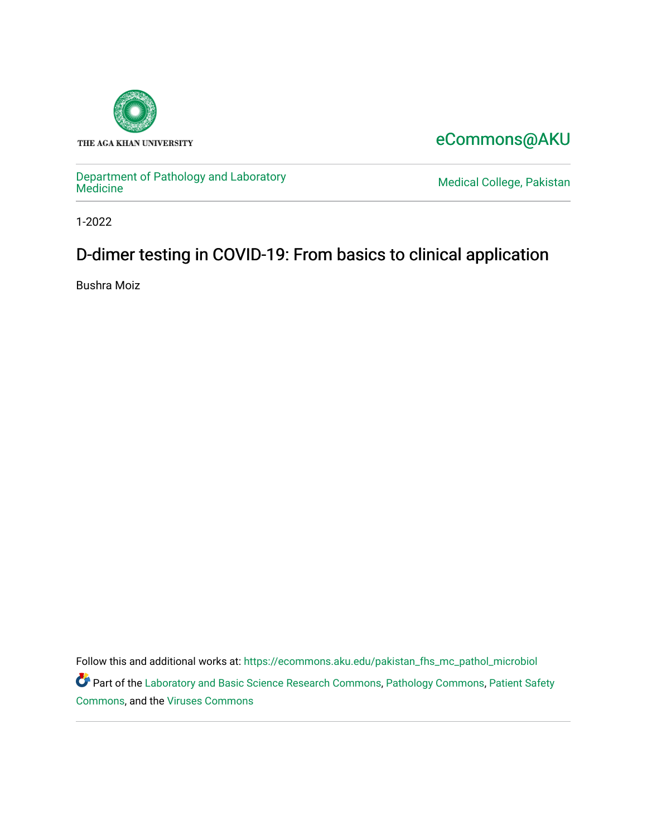

## [eCommons@AKU](https://ecommons.aku.edu/)

[Department of Pathology and Laboratory](https://ecommons.aku.edu/pakistan_fhs_mc_pathol_microbiol) 

Medical College, Pakistan

1-2022

## D-dimer testing in COVID-19: From basics to clinical application

Bushra Moiz

Follow this and additional works at: [https://ecommons.aku.edu/pakistan\\_fhs\\_mc\\_pathol\\_microbiol](https://ecommons.aku.edu/pakistan_fhs_mc_pathol_microbiol?utm_source=ecommons.aku.edu%2Fpakistan_fhs_mc_pathol_microbiol%2F1381&utm_medium=PDF&utm_campaign=PDFCoverPages)  Part of the [Laboratory and Basic Science Research Commons,](http://network.bepress.com/hgg/discipline/812?utm_source=ecommons.aku.edu%2Fpakistan_fhs_mc_pathol_microbiol%2F1381&utm_medium=PDF&utm_campaign=PDFCoverPages) [Pathology Commons,](http://network.bepress.com/hgg/discipline/699?utm_source=ecommons.aku.edu%2Fpakistan_fhs_mc_pathol_microbiol%2F1381&utm_medium=PDF&utm_campaign=PDFCoverPages) [Patient Safety](http://network.bepress.com/hgg/discipline/1410?utm_source=ecommons.aku.edu%2Fpakistan_fhs_mc_pathol_microbiol%2F1381&utm_medium=PDF&utm_campaign=PDFCoverPages) [Commons](http://network.bepress.com/hgg/discipline/1410?utm_source=ecommons.aku.edu%2Fpakistan_fhs_mc_pathol_microbiol%2F1381&utm_medium=PDF&utm_campaign=PDFCoverPages), and the [Viruses Commons](http://network.bepress.com/hgg/discipline/987?utm_source=ecommons.aku.edu%2Fpakistan_fhs_mc_pathol_microbiol%2F1381&utm_medium=PDF&utm_campaign=PDFCoverPages)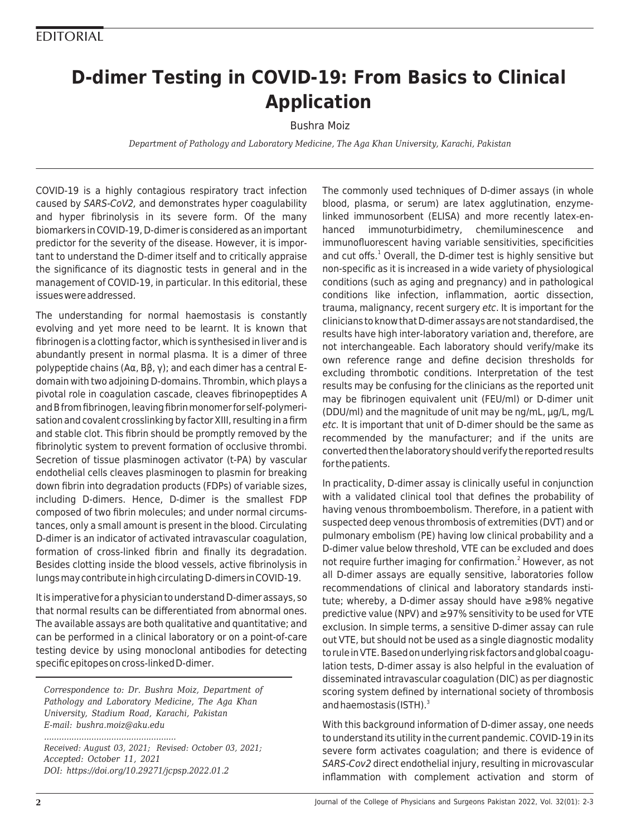# **D-dimer Testing in COVID-19: From Basics to Clinical Application**

### Bushra Moiz

*Department of Pathology and Laboratory Medicine, The Aga Khan University, Karachi, Pakistan*

COVID-19 is a highly contagious respiratory tract infection caused by SARS-CoV2, and demonstrates hyper coagulability and hyper fibrinolysis in its severe form. Of the many biomarkers in COVID-19, D-dimer is considered as an important predictor for the severity of the disease. However, it is important to understand the D-dimer itself and to critically appraise the significance of its diagnostic tests in general and in the management of COVID-19, in particular. In this editorial, these issues were addressed.

The understanding for normal haemostasis is constantly evolving and yet more need to be learnt. It is known that fibrinogen is a clotting factor, which is synthesised in liver and is abundantly present in normal plasma. It is a dimer of three polypeptide chains (Aα, Bβ, γ); and each dimer has a central Edomain with two adjoining D-domains. Thrombin, which plays a pivotal role in coagulation cascade, cleaves fibrinopeptides A and B from fibrinogen, leaving fibrin monomer for self-polymerisation and covalent crosslinking by factor XIII, resulting in a firm and stable clot. This fibrin should be promptly removed by the fibrinolytic system to prevent formation of occlusive thrombi. Secretion of tissue plasminogen activator (t-PA) by vascular endothelial cells cleaves plasminogen to plasmin for breaking down fibrin into degradation products (FDPs) of variable sizes, including D-dimers. Hence, D-dimer is the smallest FDP composed of two fibrin molecules; and under normal circumstances, only a small amount is present in the blood. Circulating D-dimer is an indicator of activated intravascular coagulation, formation of cross-linked fibrin and finally its degradation. Besides clotting inside the blood vessels, active fibrinolysis in lungs may contribute in high circulating D-dimers in COVID-19.

It is imperative for a physician to understand D-dimer assays, so that normal results can be differentiated from abnormal ones. The available assays are both qualitative and quantitative; and can be performed in a clinical laboratory or on a point-of-care testing device by using monoclonal antibodies for detecting specific epitopes on cross-linked D-dimer.

*Correspondence to: Dr. Bushra Moiz, Department of Pathology and Laboratory Medicine, The Aga Khan University, Stadium Road, Karachi, Pakistan E-mail: bushra.moiz@aku.edu*

*..................................................... Received: August 03, 2021; Revised: October 03, 2021; Accepted: October 11, 2021 DOI: https://doi.org/10.29271/jcpsp.2022.01.2*

The commonly used techniques of D-dimer assays (in whole blood, plasma, or serum) are latex agglutination, enzymelinked immunosorbent (ELISA) and more recently latex-enhanced immunoturbidimetry, chemiluminescence and immunofluorescent having variable sensitivities, specificities and cut offs.<sup>1</sup> Overall, the D-dimer test is highly sensitive but non-specific as it is increased in a wide variety of physiological conditions (such as aging and pregnancy) and in pathological conditions like infection, inflammation, aortic dissection, trauma, malignancy, recent surgery etc. It is important for the clinicians to know that D-dimer assays are not standardised, the results have high inter-laboratory variation and, therefore, are not interchangeable. Each laboratory should verify/make its own reference range and define decision thresholds for excluding thrombotic conditions. Interpretation of the test results may be confusing for the clinicians as the reported unit may be fibrinogen equivalent unit (FEU/ml) or D-dimer unit (DDU/ml) and the magnitude of unit may be ng/mL, µg/L, mg/L etc. It is important that unit of D-dimer should be the same as recommended by the manufacturer; and if the units are converted then the laboratory should verify the reported results for the patients.

In practicality, D-dimer assay is clinically useful in conjunction with a validated clinical tool that defines the probability of having venous thromboembolism. Therefore, in a patient with suspected deep venous thrombosis of extremities (DVT) and or pulmonary embolism (PE) having low clinical probability and a D-dimer value below threshold, VTE can be excluded and does not require further imaging for confirmation.<sup>2</sup> However, as not all D-dimer assays are equally sensitive, laboratories follow recommendations of clinical and laboratory standards institute; whereby, a D-dimer assay should have ≥98% negative predictive value (NPV) and ≥97% sensitivity to be used for VTE exclusion. In simple terms, a sensitive D-dimer assay can rule out VTE, but should not be used as a single diagnostic modality to rule in VTE. Based on underlying risk factors and global coagulation tests, D-dimer assay is also helpful in the evaluation of disseminated intravascular coagulation (DIC) as per diagnostic scoring system defined by international society of thrombosis and haemostasis (ISTH). $3$ 

With this background information of D-dimer assay, one needs to understand its utility in the current pandemic. COVID-19 in its severe form activates coagulation; and there is evidence of SARS-Cov2 direct endothelial injury, resulting in microvascular inflammation with complement activation and storm of